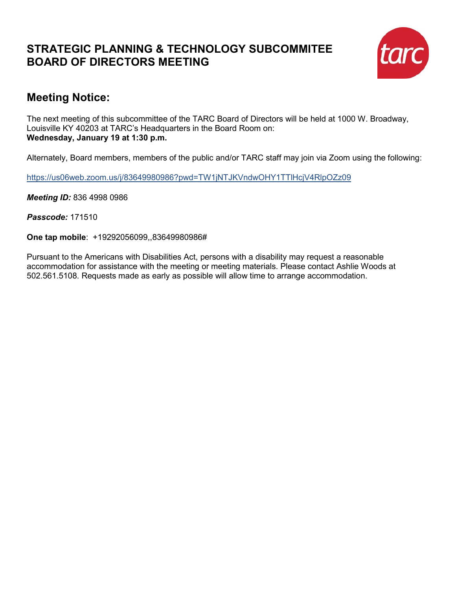# **STRATEGIC PLANNING & TECHNOLOGY SUBCOMMITEE BOARD OF DIRECTORS MEETING**



# **Meeting Notice:**

The next meeting of this subcommittee of the TARC Board of Directors will be held at 1000 W. Broadway, Louisville KY 40203 at TARC's Headquarters in the Board Room on: **Wednesday, January 19 at 1:30 p.m.**

Alternately, Board members, members of the public and/or TARC staff may join via Zoom using the following:

https://us06web.zoom.us/j/83649980986?pwd=TW1jNTJKVndwOHY1TTlHcjV4RlpOZz09

*Meeting ID:* 836 4998 0986

*Passcode:* 171510

**One tap mobile**: +19292056099,,83649980986#

Pursuant to the Americans with Disabilities Act, persons with a disability may request a reasonable accommodation for assistance with the meeting or meeting materials. Please contact Ashlie Woods at 502.561.5108. Requests made as early as possible will allow time to arrange accommodation.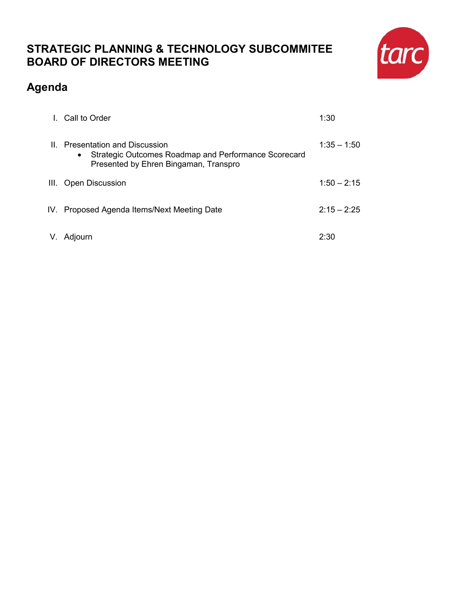# **STRATEGIC PLANNING & TECHNOLOGY SUBCOMMITEE BOARD OF DIRECTORS MEETING**

# tarc

# **Agenda**

| I. Call to Order                                                                                                                              | 1:30          |
|-----------------------------------------------------------------------------------------------------------------------------------------------|---------------|
| II. Presentation and Discussion<br>Strategic Outcomes Roadmap and Performance Scorecard<br>$\bullet$<br>Presented by Ehren Bingaman, Transpro | $1:35 - 1:50$ |
| III. Open Discussion                                                                                                                          | $1:50 - 2:15$ |
| IV. Proposed Agenda Items/Next Meeting Date                                                                                                   | $2:15 - 2:25$ |
| V. Adjourn                                                                                                                                    | 2:30          |